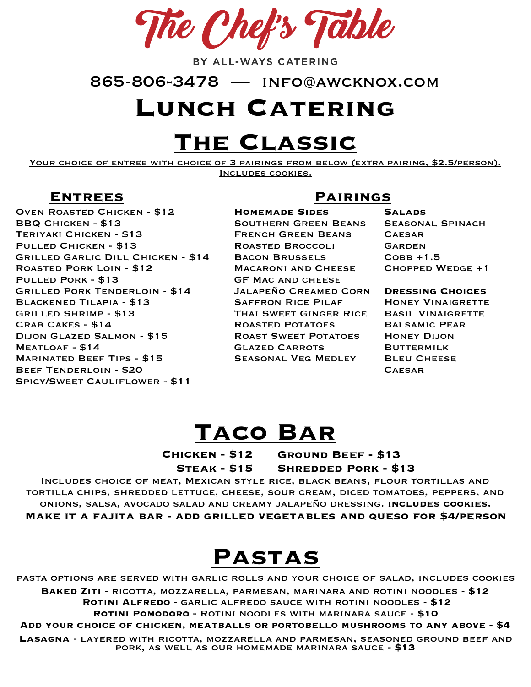The Chef's Table

BY ALL-WAYS CATERING

865-806-3478 — info@awcknox.com

#### **Lunch Catering**

# **The Classic**

YOUR CHOICE OF ENTREE WITH CHOICE OF 3 PAIRINGS FROM BELOW (EXTRA PAIRING, \$2.5/PERSON). Includes cookies.

Oven Roasted Chicken - \$12 BBQ Chicken - \$13 Teriyaki Chicken - \$13 Pulled Chicken - \$13 Grilled Garlic Dill Chicken - \$14 Roasted Pork Loin - \$12 Pulled Pork - \$13 Grilled Pork Tenderloin - \$14 Blackened Tilapia - \$13 Grilled Shrimp - \$13 Crab Cakes - \$14 Dijon Glazed Salmon - \$15 Meatloaf - \$14 Marinated Beef Tips - \$15 Beef Tenderloin - \$20 Spicy/Sweet Cauliflower - \$11

#### **Entrees Pairings**

**Homemade Sides** 

Southern Green Beans French Green Beans Roasted Broccoli Bacon Brussels Macaroni and Cheese GF Mac and cheese Jalapeño Creamed Corn Saffron Rice Pilaf Thai Sweet Ginger Rice Roasted Potatoes Roast Sweet Potatoes Glazed Carrots Seasonal Veg Medley

**Salads** Seasonal Spinach **CAESAR** GARDEN  $COBB + 1.5$ Chopped Wedge +1

**Dressing Choices** 

**HONEY VINAIGRETTE** Basil Vinaigrette Balsamic Pear Honey Dijon **BUTTERMILK BLEU CHEESE CAFSAR** 

#### **Taco Bar**

**Chicken - \$12 Steak - \$15 Ground Beef - \$13 Shredded Pork - \$13**

Includes choice of meat, Mexican style rice, black beans, flour tortillas and tortilla chips, shredded lettuce, cheese, sour cream, diced tomatoes, peppers, and onions, salsa, avocado salad and creamy jalapeño dressing. **includes cookies. Make it a fajita bar - add grilled vegetables and queso for \$4/person** 

## **Pastas**

pasta options are served with garlic rolls and your choice of salad, includes cookies

**Baked Ziti** - ricotta, mozzarella, parmesan, marinara and rotini noodles - **\$12 Rotini Alfredo** - garlic alfredo sauce with rotini noodles - **\$12 Rotini Pomodoro** - Rotini noodles with marinara sauce - **\$10** 

**Add your choice of chicken, meatballs or portobello mushrooms to any above - \$4** 

**Lasagna** - layered with ricotta, mozzarella and parmesan, seasoned ground beef and pork, as well as our homemade marinara sauce - **\$13**